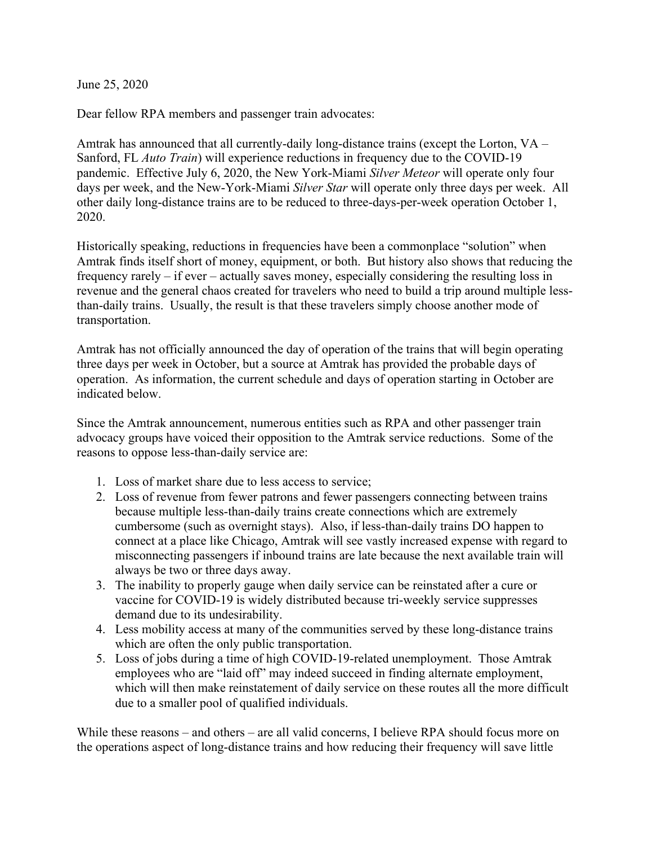June 25, 2020

Dear fellow RPA members and passenger train advocates:

Amtrak has announced that all currently-daily long-distance trains (except the Lorton, VA – Sanford, FL *Auto Train*) will experience reductions in frequency due to the COVID-19 pandemic. Effective July 6, 2020, the New York-Miami *Silver Meteor* will operate only four days per week, and the New-York-Miami *Silver Star* will operate only three days per week. All other daily long-distance trains are to be reduced to three-days-per-week operation October 1, 2020.

Historically speaking, reductions in frequencies have been a commonplace "solution" when Amtrak finds itself short of money, equipment, or both. But history also shows that reducing the frequency rarely – if ever – actually saves money, especially considering the resulting loss in revenue and the general chaos created for travelers who need to build a trip around multiple lessthan-daily trains. Usually, the result is that these travelers simply choose another mode of transportation.

Amtrak has not officially announced the day of operation of the trains that will begin operating three days per week in October, but a source at Amtrak has provided the probable days of operation. As information, the current schedule and days of operation starting in October are indicated below.

Since the Amtrak announcement, numerous entities such as RPA and other passenger train advocacy groups have voiced their opposition to the Amtrak service reductions. Some of the reasons to oppose less-than-daily service are:

- 1. Loss of market share due to less access to service;
- 2. Loss of revenue from fewer patrons and fewer passengers connecting between trains because multiple less-than-daily trains create connections which are extremely cumbersome (such as overnight stays). Also, if less-than-daily trains DO happen to connect at a place like Chicago, Amtrak will see vastly increased expense with regard to misconnecting passengers if inbound trains are late because the next available train will always be two or three days away.
- 3. The inability to properly gauge when daily service can be reinstated after a cure or vaccine for COVID-19 is widely distributed because tri-weekly service suppresses demand due to its undesirability.
- 4. Less mobility access at many of the communities served by these long-distance trains which are often the only public transportation.
- 5. Loss of jobs during a time of high COVID-19-related unemployment. Those Amtrak employees who are "laid off" may indeed succeed in finding alternate employment, which will then make reinstatement of daily service on these routes all the more difficult due to a smaller pool of qualified individuals.

While these reasons – and others – are all valid concerns, I believe RPA should focus more on the operations aspect of long-distance trains and how reducing their frequency will save little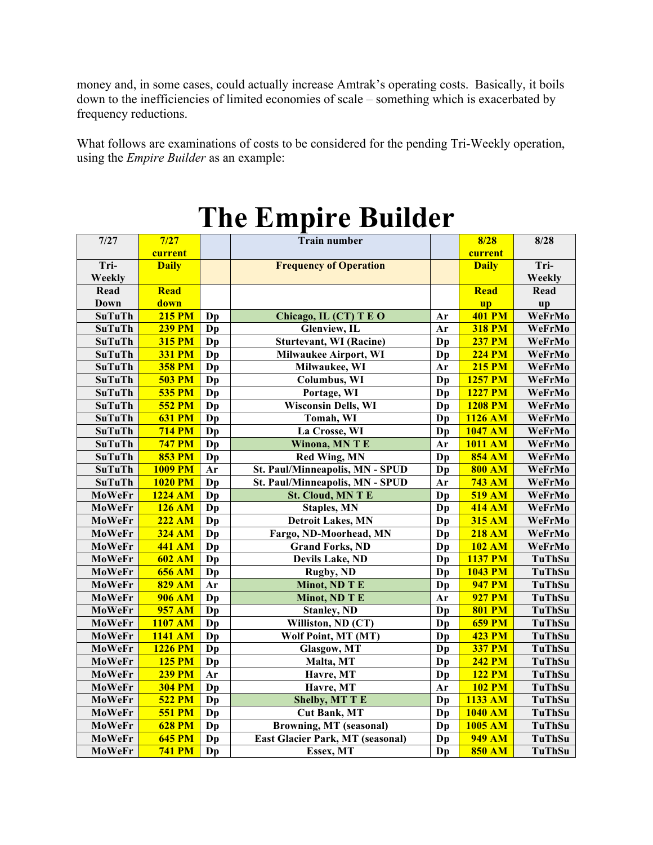money and, in some cases, could actually increase Amtrak's operating costs. Basically, it boils down to the inefficiencies of limited economies of scale – something which is exacerbated by frequency reductions.

What follows are examinations of costs to be considered for the pending Tri-Weekly operation, using the *Empire Builder* as an example:

| $7/27$        | 7/27           |    | <b>Train number</b>                   |          |                      | 8/28          |
|---------------|----------------|----|---------------------------------------|----------|----------------------|---------------|
|               | current        |    |                                       |          | 8/28<br>current      |               |
| Tri-          | <b>Daily</b>   |    | <b>Frequency of Operation</b>         |          | <b>Daily</b>         | Tri-          |
| Weekly        |                |    |                                       |          |                      | Weekly        |
| Read          | Read           |    |                                       |          | <b>Read</b>          | Read          |
| <b>Down</b>   | down           |    |                                       |          | <b>up</b>            | up            |
| <b>SuTuTh</b> | <b>215 PM</b>  | Dp | Chicago, IL (CT) T E O                | Ar       | <b>401 PM</b>        | WeFrMo        |
| <b>SuTuTh</b> | <b>239 PM</b>  | Dp | Glenview, IL                          | Ar       | <b>318 PM</b>        | WeFrMo        |
| <b>SuTuTh</b> | <b>315 PM</b>  | Dp | <b>Sturtevant, WI (Racine)</b>        | Dp       | <b>237 PM</b>        | WeFrMo        |
| <b>SuTuTh</b> | <b>331 PM</b>  | Dp | <b>Milwaukee Airport, WI</b>          | Dp       | <b>224 PM</b>        | WeFrMo        |
| <b>SuTuTh</b> | <b>358 PM</b>  | Dp | Milwaukee, WI                         | Ar       | <b>215 PM</b>        | WeFrMo        |
| <b>SuTuTh</b> | <b>503 PM</b>  | Dp | Columbus, WI                          | Dp       | <b>1257 PM</b>       | WeFrMo        |
| <b>SuTuTh</b> | <b>535 PM</b>  | Dp | Portage, WI                           | Dp       | <b>1227 PM</b>       | WeFrMo        |
| <b>SuTuTh</b> | <b>552 PM</b>  | Dp | <b>Wisconsin Dells, WI</b>            | Dp       | <b>1208 PM</b>       | WeFrMo        |
| <b>SuTuTh</b> | <b>631 PM</b>  | Dp | Tomah, WI                             | Dp       | $\overline{1126}$ AM | WeFrMo        |
| <b>SuTuTh</b> | <b>714 PM</b>  | Dp | La Crosse, WI                         | Dp       | 1047 AM              | WeFrMo        |
| <b>SuTuTh</b> | <b>747 PM</b>  | Dp | Winona, MN T E                        | Ar       | <b>1011 AM</b>       | WeFrMo        |
| <b>SuTuTh</b> | <b>853 PM</b>  | Dp | <b>Red Wing, MN</b>                   | Dp       | <b>854 AM</b>        | WeFrMo        |
| <b>SuTuTh</b> | <b>1009 PM</b> | Ar | St. Paul/Minneapolis, MN - SPUD       |          | <b>800 AM</b>        | WeFrMo        |
| <b>SuTuTh</b> | <b>1020 PM</b> | Dp | Dp<br>St. Paul/Minneapolis, MN - SPUD |          | <b>743 AM</b>        | WeFrMo        |
| MoWeFr        | 1224 AM        | Dp | <b>St. Cloud, MN T E</b>              | Ar<br>Dp | <b>519 AM</b>        | WeFrMo        |
| MoWeFr        | <b>126 AM</b>  | Dp | <b>Staples, MN</b>                    | Dp       | <b>414 AM</b>        | WeFrMo        |
| MoWeFr        | $222$ AM       | Dp | <b>Detroit Lakes, MN</b>              | Dp       | <b>315 AM</b>        | WeFrMo        |
| MoWeFr        | <b>324 AM</b>  | Dp | Fargo, ND-Moorhead, MN                | Dp       | <b>218 AM</b>        | WeFrMo        |
| MoWeFr        | <b>441 AM</b>  | Dp | <b>Grand Forks, ND</b>                | Dp       | <b>102 AM</b>        | WeFrMo        |
| MoWeFr        | <b>602 AM</b>  | Dp | <b>Devils Lake, ND</b>                | Dp       | <b>1137 PM</b>       | <b>TuThSu</b> |
| MoWeFr        | <b>656 AM</b>  | Dp | <b>Rugby, ND</b>                      | Dp       | <b>1043 PM</b>       | <b>TuThSu</b> |
| MoWeFr        | <b>829 AM</b>  | Ar | Minot, ND T E                         | Dp       | <b>947 PM</b>        | TuThSu        |
| MoWeFr        | <b>906 AM</b>  | Dp | Minot, ND T E                         | Ar       | <b>927 PM</b>        | TuThSu        |
| MoWeFr        | <b>957 AM</b>  | Dp | <b>Stanley, ND</b>                    | Dp       | <b>801 PM</b>        | TuThSu        |
| MoWeFr        | 1107 AM        | Dp | Williston, ND (CT)                    | Dp       | <b>659 PM</b>        | TuThSu        |
| MoWeFr        | 1141 AM        | Dp | Wolf Point, MT (MT)                   | Dp       | <b>423 PM</b>        | <b>TuThSu</b> |
| MoWeFr        | <b>1226 PM</b> | Dp | Glasgow, MT                           | Dp       | <b>337 PM</b>        | <b>TuThSu</b> |
| MoWeFr        | <b>125 PM</b>  | Dp | Malta, MT                             | Dp       | <b>242 PM</b>        | TuThSu        |
| MoWeFr        | <b>239 PM</b>  | Ar | Havre, MT                             | Dp       | <b>122 PM</b>        | TuThSu        |
| MoWeFr        | <b>304 PM</b>  | Dp | Havre, MT                             |          | <b>102 PM</b>        | <b>TuThSu</b> |
| MoWeFr        | <b>522 PM</b>  | Dp | <b>Shelby, MT T E</b>                 | Dp       | 1133 AM              | TuThSu        |
| MoWeFr        | <b>551 PM</b>  | Dp | <b>Cut Bank, MT</b>                   | Dp       | 1040 AM              | TuThSu        |
| MoWeFr        | <b>628 PM</b>  | Dp | <b>Browning, MT (seasonal)</b>        |          | 1005 AM              | TuThSu        |
| MoWeFr        | <b>645 PM</b>  | Dp | East Glacier Park, MT (seasonal)      |          | <b>949 AM</b>        | <b>TuThSu</b> |
| MoWeFr        | <b>741 PM</b>  | Dp | Essex, MT                             | Dp       | <b>850 AM</b>        | TuThSu        |

# **The Empire Builder**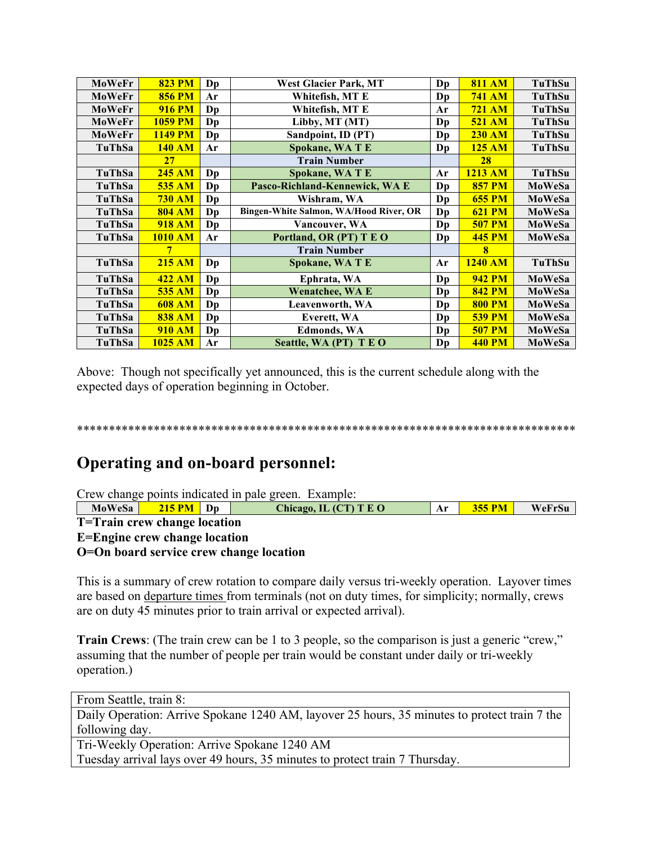| MoWeFr        | <b>823 PM</b>  | Dp                     | <b>West Glacier Park, MT</b>           | Dp             | <b>811 AM</b> | TuThSu        |
|---------------|----------------|------------------------|----------------------------------------|----------------|---------------|---------------|
| MoWeFr        | <b>856 PM</b>  | Ar                     | Whitefish, MT E<br>Dp                  |                | <b>741 AM</b> | <b>TuThSu</b> |
| <b>MoWeFr</b> | <b>916 PM</b>  | Dp                     | Whitefish, MT E                        | Ar             | <b>721 AM</b> | TuThSu        |
| MoWeFr        | <b>1059 PM</b> | Dp                     | Libby, MT (MT)                         | Dp             | <b>521 AM</b> | <b>TuThSu</b> |
| MoWeFr        | <b>1149 PM</b> | Dp                     | Sandpoint, ID (PT)                     | Dp             | <b>230 AM</b> | TuThSu        |
| TuThSa        | <b>140 AM</b>  | Ar                     | <b>Spokane, WATE</b>                   | Dp             | <b>125 AM</b> | <b>TuThSu</b> |
|               | 27             |                        | <b>Train Number</b>                    |                | 28            |               |
| TuThSa        | 245 AM         | Dp                     | <b>Spokane, WATE</b>                   | Ar             | 1213 AM       | <b>TuThSu</b> |
| TuThSa        | <b>535 AM</b>  | $\mathbf{D}\mathbf{p}$ | Pasco-Richland-Kennewick, WA E         | D <sub>p</sub> | <b>857 PM</b> | <b>MoWeSa</b> |
| TuThSa        | <b>730 AM</b>  | Dp                     | Wishram, WA                            | Dp             | <b>655 PM</b> | MoWeSa        |
| TuThSa        | <b>804 AM</b>  | $\mathbf{D}\mathbf{p}$ | Bingen-White Salmon, WA/Hood River, OR | Dp             | <b>621 PM</b> | MoWeSa        |
| TuThSa        | <b>918 AM</b>  | Dp                     | Vancouver, WA                          | Dp             | <b>507 PM</b> | MoWeSa        |
| TuThSa        | <b>1010 AM</b> | Ar                     | Portland, OR (PT) T E O                | Dp             | <b>445 PM</b> | MoWeSa        |
|               | 7              |                        | <b>Train Number</b>                    |                | 8             |               |
| TuThSa        | <b>215 AM</b>  | Dp                     | Spokane, WA T E                        | Ar             | 1240 AM       | TuThSu        |
| TuThSa        | <b>422 AM</b>  | Dp                     | Ephrata, WA                            | Dp             | <b>942 PM</b> | MoWeSa        |
| TuThSa        | <b>535 AM</b>  | Dp                     | <b>Wenatchee, WA E</b>                 | Dp             | <b>842 PM</b> | <b>MoWeSa</b> |
| TuThSa        | <b>608 AM</b>  | Dp                     | Leavenworth, WA                        | Dp             | <b>800 PM</b> | MoWeSa        |
| TuThSa        | <b>838 AM</b>  | Dp                     | Everett, WA                            | D <sub>p</sub> | <b>539 PM</b> | <b>MoWeSa</b> |
| TuThSa        | <b>910 AM</b>  | Dp                     | <b>Edmonds, WA</b>                     | Dp             | <b>507 PM</b> | MoWeSa        |
| TuThSa        | 1025 AM        | Ar                     | Seattle, WA (PT) T E O                 | Dp             | <b>440 PM</b> | MoWeSa        |

Above: Though not specifically yet announced, this is the current schedule along with the expected days of operation beginning in October.

\*\*\*\*\*\*\*\*\*\*\*\*\*\*\*\*\*\*\*\*\*\*\*\*\*\*\*\*\*\*\*\*\*\*\*\*\*\*\*\*\*\*\*\*\*\*\*\*\*\*\*\*\*\*\*\*\*\*\*\*\*\*\*\*\*\*\*\*\*\*\*\*\*\*\*\*\*\*

### **Operating and on-board personnel:**

Crew change points indicated in pale green. Example:

| MoWeSa                               | $215 \text{ PM}$ D <sub>p</sub> |  | Chicago, IL $(CT)$ T E O | Ar | <b>355 PM</b> | WeFrSu |
|--------------------------------------|---------------------------------|--|--------------------------|----|---------------|--------|
| T=Train crew change location         |                                 |  |                          |    |               |        |
| <b>E=Engine crew change location</b> |                                 |  |                          |    |               |        |

**O=On board service crew change location**

This is a summary of crew rotation to compare daily versus tri-weekly operation. Layover times are based on departure times from terminals (not on duty times, for simplicity; normally, crews are on duty 45 minutes prior to train arrival or expected arrival).

**Train Crews**: (The train crew can be 1 to 3 people, so the comparison is just a generic "crew," assuming that the number of people per train would be constant under daily or tri-weekly operation.)

From Seattle, train 8:

Daily Operation: Arrive Spokane 1240 AM, layover 25 hours, 35 minutes to protect train 7 the following day.

Tri-Weekly Operation: Arrive Spokane 1240 AM Tuesday arrival lays over 49 hours, 35 minutes to protect train 7 Thursday.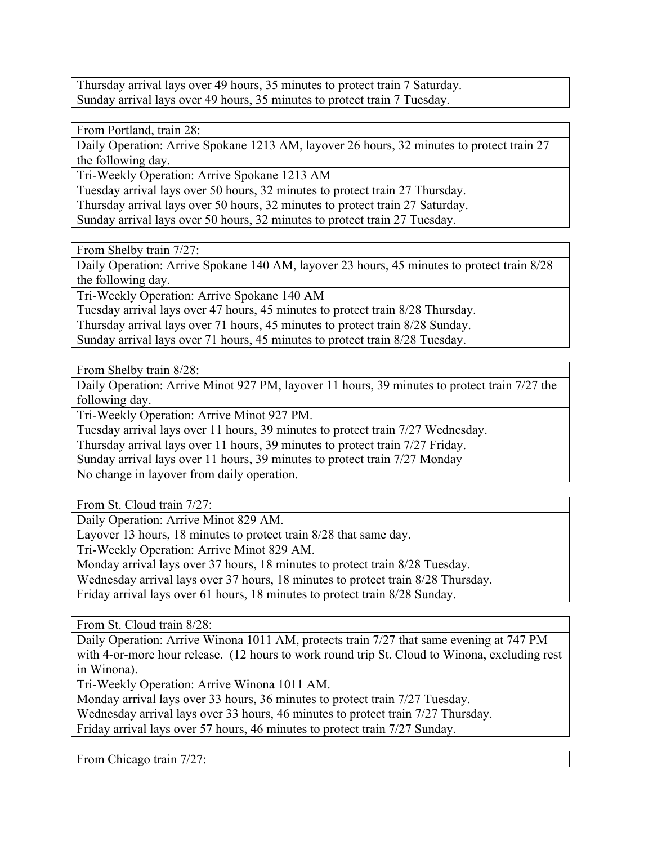Thursday arrival lays over 49 hours, 35 minutes to protect train 7 Saturday. Sunday arrival lays over 49 hours, 35 minutes to protect train 7 Tuesday.

From Portland, train 28:

Daily Operation: Arrive Spokane 1213 AM, layover 26 hours, 32 minutes to protect train 27 the following day.

Tri-Weekly Operation: Arrive Spokane 1213 AM

Tuesday arrival lays over 50 hours, 32 minutes to protect train 27 Thursday.

Thursday arrival lays over 50 hours, 32 minutes to protect train 27 Saturday.

Sunday arrival lays over 50 hours, 32 minutes to protect train 27 Tuesday.

From Shelby train 7/27:

Daily Operation: Arrive Spokane 140 AM, layover 23 hours, 45 minutes to protect train 8/28 the following day.

Tri-Weekly Operation: Arrive Spokane 140 AM

Tuesday arrival lays over 47 hours, 45 minutes to protect train 8/28 Thursday.

Thursday arrival lays over 71 hours, 45 minutes to protect train 8/28 Sunday.

Sunday arrival lays over 71 hours, 45 minutes to protect train 8/28 Tuesday.

From Shelby train 8/28:

Daily Operation: Arrive Minot 927 PM, layover 11 hours, 39 minutes to protect train 7/27 the following day.

Tri-Weekly Operation: Arrive Minot 927 PM.

Tuesday arrival lays over 11 hours, 39 minutes to protect train 7/27 Wednesday.

Thursday arrival lays over 11 hours, 39 minutes to protect train 7/27 Friday.

Sunday arrival lays over 11 hours, 39 minutes to protect train 7/27 Monday

No change in layover from daily operation.

From St. Cloud train 7/27:

Daily Operation: Arrive Minot 829 AM.

Layover 13 hours, 18 minutes to protect train 8/28 that same day.

Tri-Weekly Operation: Arrive Minot 829 AM.

Monday arrival lays over 37 hours, 18 minutes to protect train 8/28 Tuesday.

Wednesday arrival lays over 37 hours, 18 minutes to protect train 8/28 Thursday.

Friday arrival lays over 61 hours, 18 minutes to protect train 8/28 Sunday.

From St. Cloud train 8/28:

Daily Operation: Arrive Winona 1011 AM, protects train 7/27 that same evening at 747 PM with 4-or-more hour release. (12 hours to work round trip St. Cloud to Winona, excluding rest in Winona).

Tri-Weekly Operation: Arrive Winona 1011 AM.

Monday arrival lays over 33 hours, 36 minutes to protect train 7/27 Tuesday.

Wednesday arrival lays over 33 hours, 46 minutes to protect train 7/27 Thursday.

Friday arrival lays over 57 hours, 46 minutes to protect train 7/27 Sunday.

From Chicago train 7/27: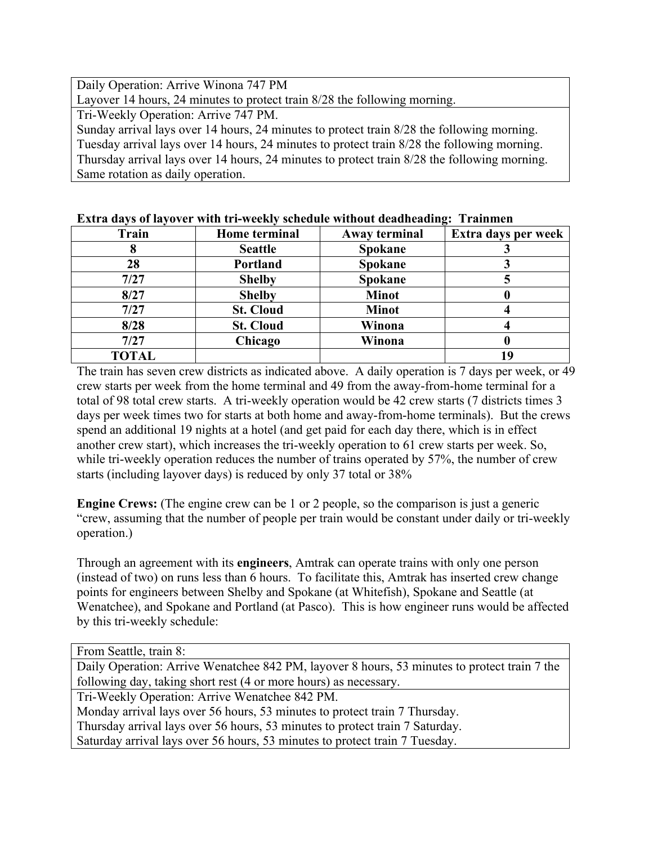Daily Operation: Arrive Winona 747 PM

Layover 14 hours, 24 minutes to protect train 8/28 the following morning.

Tri-Weekly Operation: Arrive 747 PM.

Sunday arrival lays over 14 hours, 24 minutes to protect train 8/28 the following morning. Tuesday arrival lays over 14 hours, 24 minutes to protect train 8/28 the following morning. Thursday arrival lays over 14 hours, 24 minutes to protect train 8/28 the following morning. Same rotation as daily operation.

| <b>Train</b> | <b>Home</b> terminal | Away terminal  | Extra days per week |
|--------------|----------------------|----------------|---------------------|
|              | <b>Seattle</b>       | <b>Spokane</b> |                     |
| 28           | Portland             | <b>Spokane</b> |                     |
| 7/27         | <b>Shelby</b>        | <b>Spokane</b> |                     |
| 8/27         | <b>Shelby</b>        | <b>Minot</b>   |                     |
| 7/27         | <b>St. Cloud</b>     | <b>Minot</b>   |                     |
| 8/28         | <b>St. Cloud</b>     | Winona         |                     |
| 7/27         | Chicago              | Winona         |                     |
| <b>TOTAL</b> |                      |                | 1 Q                 |

#### **Extra days of layover with tri-weekly schedule without deadheading: Trainmen**

The train has seven crew districts as indicated above. A daily operation is 7 days per week, or 49 crew starts per week from the home terminal and 49 from the away-from-home terminal for a total of 98 total crew starts. A tri-weekly operation would be 42 crew starts (7 districts times 3 days per week times two for starts at both home and away-from-home terminals). But the crews spend an additional 19 nights at a hotel (and get paid for each day there, which is in effect another crew start), which increases the tri-weekly operation to 61 crew starts per week. So, while tri-weekly operation reduces the number of trains operated by 57%, the number of crew starts (including layover days) is reduced by only 37 total or 38%

**Engine Crews:** (The engine crew can be 1 or 2 people, so the comparison is just a generic "crew, assuming that the number of people per train would be constant under daily or tri-weekly operation.)

Through an agreement with its **engineers**, Amtrak can operate trains with only one person (instead of two) on runs less than 6 hours. To facilitate this, Amtrak has inserted crew change points for engineers between Shelby and Spokane (at Whitefish), Spokane and Seattle (at Wenatchee), and Spokane and Portland (at Pasco). This is how engineer runs would be affected by this tri-weekly schedule:

| From Seattle, train 8:                                                                       |
|----------------------------------------------------------------------------------------------|
| Daily Operation: Arrive Wenatchee 842 PM, layover 8 hours, 53 minutes to protect train 7 the |
| following day, taking short rest (4 or more hours) as necessary.                             |
| Tri-Weekly Operation: Arrive Wenatchee 842 PM.                                               |
| Monday arrival lays over 56 hours, 53 minutes to protect train 7 Thursday.                   |
| Thursday arrival lays over 56 hours, 53 minutes to protect train 7 Saturday.                 |
| Saturday arrival lays over 56 hours, 53 minutes to protect train 7 Tuesday.                  |
|                                                                                              |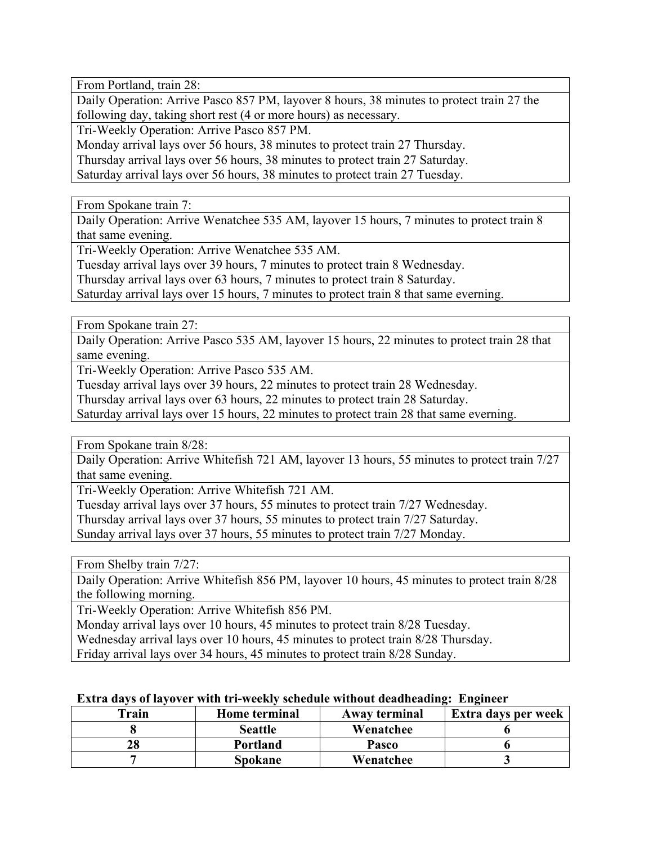From Portland, train 28:

Daily Operation: Arrive Pasco 857 PM, layover 8 hours, 38 minutes to protect train 27 the following day, taking short rest (4 or more hours) as necessary.

Tri-Weekly Operation: Arrive Pasco 857 PM.

Monday arrival lays over 56 hours, 38 minutes to protect train 27 Thursday.

Thursday arrival lays over 56 hours, 38 minutes to protect train 27 Saturday.

Saturday arrival lays over 56 hours, 38 minutes to protect train 27 Tuesday.

From Spokane train 7:

Daily Operation: Arrive Wenatchee 535 AM, layover 15 hours, 7 minutes to protect train 8 that same evening.

Tri-Weekly Operation: Arrive Wenatchee 535 AM.

Tuesday arrival lays over 39 hours, 7 minutes to protect train 8 Wednesday.

Thursday arrival lays over 63 hours, 7 minutes to protect train 8 Saturday.

Saturday arrival lays over 15 hours, 7 minutes to protect train 8 that same everning.

From Spokane train 27:

Daily Operation: Arrive Pasco 535 AM, layover 15 hours, 22 minutes to protect train 28 that same evening.

Tri-Weekly Operation: Arrive Pasco 535 AM.

Tuesday arrival lays over 39 hours, 22 minutes to protect train 28 Wednesday.

Thursday arrival lays over 63 hours, 22 minutes to protect train 28 Saturday.

Saturday arrival lays over 15 hours, 22 minutes to protect train 28 that same everning.

From Spokane train 8/28:

Daily Operation: Arrive Whitefish 721 AM, layover 13 hours, 55 minutes to protect train 7/27 that same evening.

Tri-Weekly Operation: Arrive Whitefish 721 AM.

Tuesday arrival lays over 37 hours, 55 minutes to protect train 7/27 Wednesday.

Thursday arrival lays over 37 hours, 55 minutes to protect train 7/27 Saturday.

Sunday arrival lays over 37 hours, 55 minutes to protect train 7/27 Monday.

From Shelby train 7/27:

Daily Operation: Arrive Whitefish 856 PM, layover 10 hours, 45 minutes to protect train 8/28 the following morning.

Tri-Weekly Operation: Arrive Whitefish 856 PM.

Monday arrival lays over 10 hours, 45 minutes to protect train 8/28 Tuesday.

Wednesday arrival lays over 10 hours, 45 minutes to protect train 8/28 Thursday.

Friday arrival lays over 34 hours, 45 minutes to protect train 8/28 Sunday.

#### **Extra days of layover with tri-weekly schedule without deadheading: Engineer**

| Train | <b>Home terminal</b> | Away terminal | Extra days per week |
|-------|----------------------|---------------|---------------------|
|       | <b>Seattle</b>       | Wenatchee     |                     |
|       | <b>Portland</b>      | Pasco         |                     |
|       | Spokane              | Wenatchee     |                     |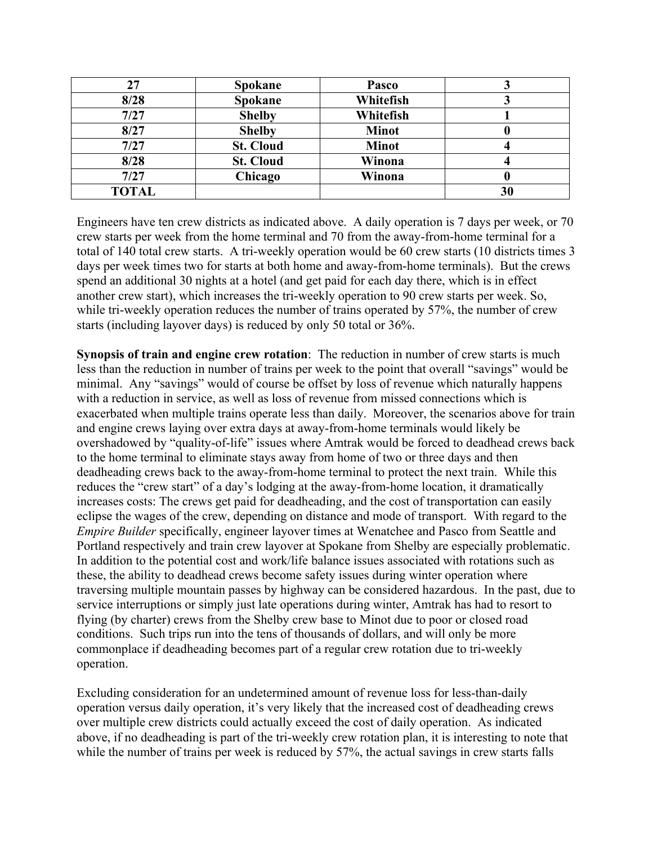| 27           | <b>Spokane</b>   | Pasco        |    |
|--------------|------------------|--------------|----|
| 8/28         | <b>Spokane</b>   | Whitefish    |    |
| 7/27         | <b>Shelby</b>    | Whitefish    |    |
| 8/27         | <b>Shelby</b>    | <b>Minot</b> |    |
| 7/27         | <b>St. Cloud</b> | <b>Minot</b> |    |
| 8/28         | <b>St. Cloud</b> | Winona       |    |
| 7/27         | Chicago          | Winona       |    |
| <b>TOTAL</b> |                  |              | 30 |

Engineers have ten crew districts as indicated above. A daily operation is 7 days per week, or 70 crew starts per week from the home terminal and 70 from the away-from-home terminal for a total of 140 total crew starts. A tri-weekly operation would be 60 crew starts (10 districts times 3 days per week times two for starts at both home and away-from-home terminals). But the crews spend an additional 30 nights at a hotel (and get paid for each day there, which is in effect another crew start), which increases the tri-weekly operation to 90 crew starts per week. So, while tri-weekly operation reduces the number of trains operated by 57%, the number of crew starts (including layover days) is reduced by only 50 total or 36%.

**Synopsis of train and engine crew rotation**: The reduction in number of crew starts is much less than the reduction in number of trains per week to the point that overall "savings" would be minimal. Any "savings" would of course be offset by loss of revenue which naturally happens with a reduction in service, as well as loss of revenue from missed connections which is exacerbated when multiple trains operate less than daily. Moreover, the scenarios above for train and engine crews laying over extra days at away-from-home terminals would likely be overshadowed by "quality-of-life" issues where Amtrak would be forced to deadhead crews back to the home terminal to eliminate stays away from home of two or three days and then deadheading crews back to the away-from-home terminal to protect the next train. While this reduces the "crew start" of a day's lodging at the away-from-home location, it dramatically increases costs: The crews get paid for deadheading, and the cost of transportation can easily eclipse the wages of the crew, depending on distance and mode of transport. With regard to the *Empire Builder* specifically, engineer layover times at Wenatchee and Pasco from Seattle and Portland respectively and train crew layover at Spokane from Shelby are especially problematic. In addition to the potential cost and work/life balance issues associated with rotations such as these, the ability to deadhead crews become safety issues during winter operation where traversing multiple mountain passes by highway can be considered hazardous. In the past, due to service interruptions or simply just late operations during winter, Amtrak has had to resort to flying (by charter) crews from the Shelby crew base to Minot due to poor or closed road conditions. Such trips run into the tens of thousands of dollars, and will only be more commonplace if deadheading becomes part of a regular crew rotation due to tri-weekly operation.

Excluding consideration for an undetermined amount of revenue loss for less-than-daily operation versus daily operation, it's very likely that the increased cost of deadheading crews over multiple crew districts could actually exceed the cost of daily operation. As indicated above, if no deadheading is part of the tri-weekly crew rotation plan, it is interesting to note that while the number of trains per week is reduced by 57%, the actual savings in crew starts falls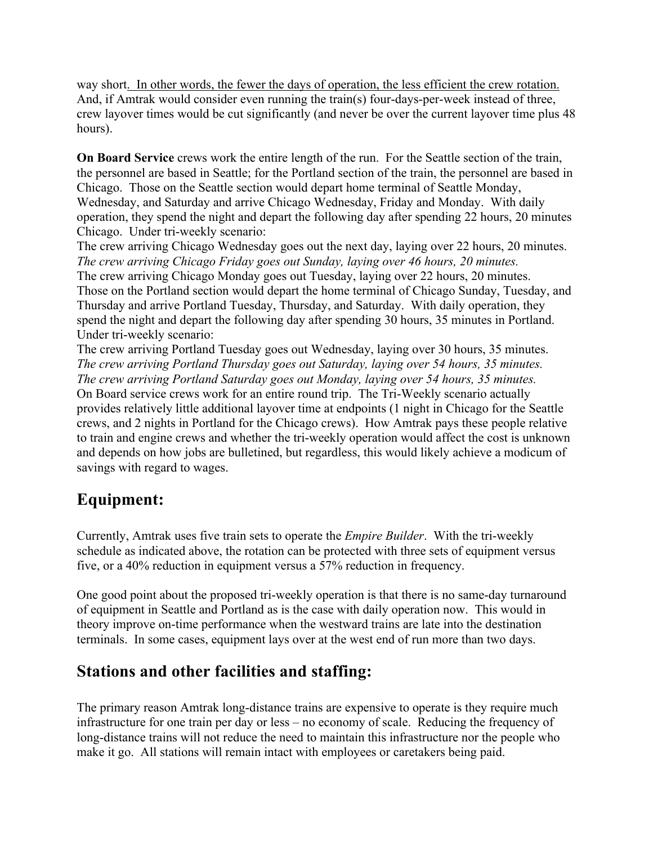way short. In other words, the fewer the days of operation, the less efficient the crew rotation. And, if Amtrak would consider even running the train(s) four-days-per-week instead of three, crew layover times would be cut significantly (and never be over the current layover time plus 48 hours).

**On Board Service** crews work the entire length of the run. For the Seattle section of the train, the personnel are based in Seattle; for the Portland section of the train, the personnel are based in Chicago. Those on the Seattle section would depart home terminal of Seattle Monday, Wednesday, and Saturday and arrive Chicago Wednesday, Friday and Monday. With daily operation, they spend the night and depart the following day after spending 22 hours, 20 minutes Chicago. Under tri-weekly scenario:

The crew arriving Chicago Wednesday goes out the next day, laying over 22 hours, 20 minutes. *The crew arriving Chicago Friday goes out Sunday, laying over 46 hours, 20 minutes.* The crew arriving Chicago Monday goes out Tuesday, laying over 22 hours, 20 minutes. Those on the Portland section would depart the home terminal of Chicago Sunday, Tuesday, and Thursday and arrive Portland Tuesday, Thursday, and Saturday. With daily operation, they spend the night and depart the following day after spending 30 hours, 35 minutes in Portland. Under tri-weekly scenario:

The crew arriving Portland Tuesday goes out Wednesday, laying over 30 hours, 35 minutes. *The crew arriving Portland Thursday goes out Saturday, laying over 54 hours, 35 minutes. The crew arriving Portland Saturday goes out Monday, laying over 54 hours, 35 minutes.* On Board service crews work for an entire round trip. The Tri-Weekly scenario actually provides relatively little additional layover time at endpoints (1 night in Chicago for the Seattle crews, and 2 nights in Portland for the Chicago crews). How Amtrak pays these people relative to train and engine crews and whether the tri-weekly operation would affect the cost is unknown and depends on how jobs are bulletined, but regardless, this would likely achieve a modicum of savings with regard to wages.

## **Equipment:**

Currently, Amtrak uses five train sets to operate the *Empire Builder*. With the tri-weekly schedule as indicated above, the rotation can be protected with three sets of equipment versus five, or a 40% reduction in equipment versus a 57% reduction in frequency.

One good point about the proposed tri-weekly operation is that there is no same-day turnaround of equipment in Seattle and Portland as is the case with daily operation now. This would in theory improve on-time performance when the westward trains are late into the destination terminals. In some cases, equipment lays over at the west end of run more than two days.

## **Stations and other facilities and staffing:**

The primary reason Amtrak long-distance trains are expensive to operate is they require much infrastructure for one train per day or less – no economy of scale. Reducing the frequency of long-distance trains will not reduce the need to maintain this infrastructure nor the people who make it go. All stations will remain intact with employees or caretakers being paid.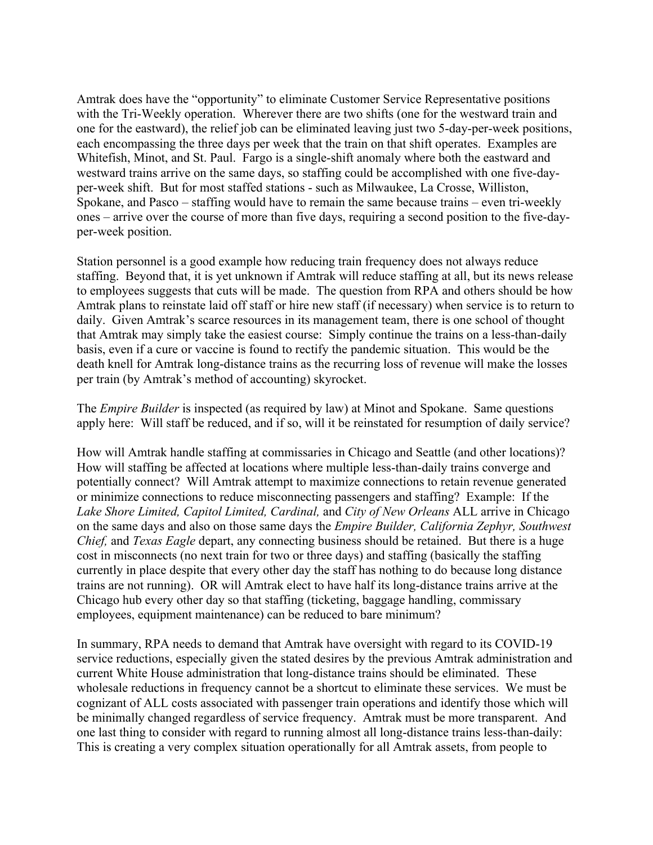Amtrak does have the "opportunity" to eliminate Customer Service Representative positions with the Tri-Weekly operation. Wherever there are two shifts (one for the westward train and one for the eastward), the relief job can be eliminated leaving just two 5-day-per-week positions, each encompassing the three days per week that the train on that shift operates. Examples are Whitefish, Minot, and St. Paul. Fargo is a single-shift anomaly where both the eastward and westward trains arrive on the same days, so staffing could be accomplished with one five-dayper-week shift. But for most staffed stations - such as Milwaukee, La Crosse, Williston, Spokane, and Pasco – staffing would have to remain the same because trains – even tri-weekly ones – arrive over the course of more than five days, requiring a second position to the five-dayper-week position.

Station personnel is a good example how reducing train frequency does not always reduce staffing. Beyond that, it is yet unknown if Amtrak will reduce staffing at all, but its news release to employees suggests that cuts will be made. The question from RPA and others should be how Amtrak plans to reinstate laid off staff or hire new staff (if necessary) when service is to return to daily. Given Amtrak's scarce resources in its management team, there is one school of thought that Amtrak may simply take the easiest course: Simply continue the trains on a less-than-daily basis, even if a cure or vaccine is found to rectify the pandemic situation. This would be the death knell for Amtrak long-distance trains as the recurring loss of revenue will make the losses per train (by Amtrak's method of accounting) skyrocket.

The *Empire Builder* is inspected (as required by law) at Minot and Spokane. Same questions apply here: Will staff be reduced, and if so, will it be reinstated for resumption of daily service?

How will Amtrak handle staffing at commissaries in Chicago and Seattle (and other locations)? How will staffing be affected at locations where multiple less-than-daily trains converge and potentially connect? Will Amtrak attempt to maximize connections to retain revenue generated or minimize connections to reduce misconnecting passengers and staffing? Example: If the *Lake Shore Limited, Capitol Limited, Cardinal,* and *City of New Orleans* ALL arrive in Chicago on the same days and also on those same days the *Empire Builder, California Zephyr, Southwest Chief,* and *Texas Eagle* depart, any connecting business should be retained. But there is a huge cost in misconnects (no next train for two or three days) and staffing (basically the staffing currently in place despite that every other day the staff has nothing to do because long distance trains are not running). OR will Amtrak elect to have half its long-distance trains arrive at the Chicago hub every other day so that staffing (ticketing, baggage handling, commissary employees, equipment maintenance) can be reduced to bare minimum?

In summary, RPA needs to demand that Amtrak have oversight with regard to its COVID-19 service reductions, especially given the stated desires by the previous Amtrak administration and current White House administration that long-distance trains should be eliminated. These wholesale reductions in frequency cannot be a shortcut to eliminate these services. We must be cognizant of ALL costs associated with passenger train operations and identify those which will be minimally changed regardless of service frequency. Amtrak must be more transparent. And one last thing to consider with regard to running almost all long-distance trains less-than-daily: This is creating a very complex situation operationally for all Amtrak assets, from people to